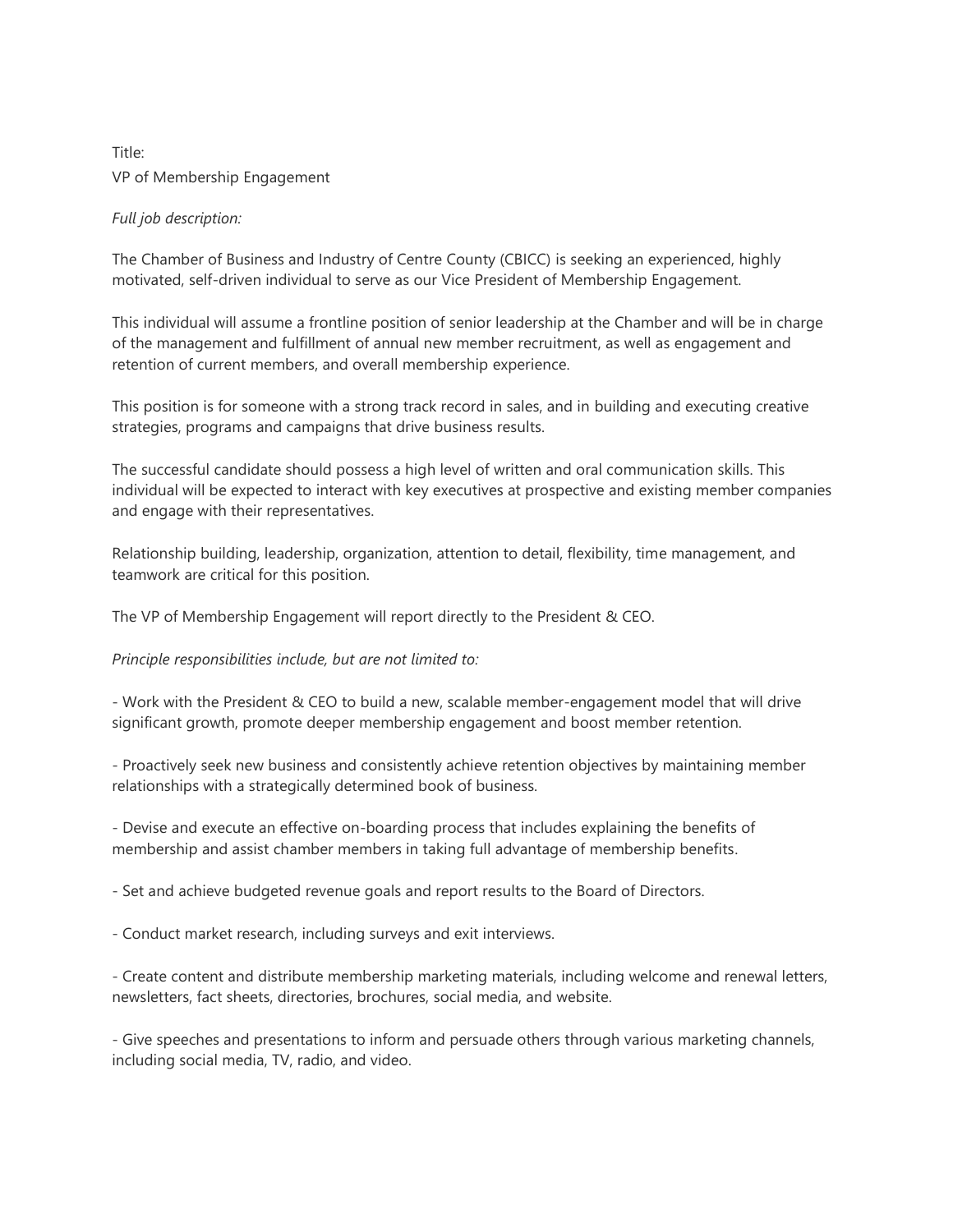## Title: VP of Membership Engagement

## *Full job description:*

The Chamber of Business and Industry of Centre County (CBICC) is seeking an experienced, highly motivated, self-driven individual to serve as our Vice President of Membership Engagement.

This individual will assume a frontline position of senior leadership at the Chamber and will be in charge of the management and fulfillment of annual new member recruitment, as well as engagement and retention of current members, and overall membership experience.

This position is for someone with a strong track record in sales, and in building and executing creative strategies, programs and campaigns that drive business results.

The successful candidate should possess a high level of written and oral communication skills. This individual will be expected to interact with key executives at prospective and existing member companies and engage with their representatives.

Relationship building, leadership, organization, attention to detail, flexibility, time management, and teamwork are critical for this position.

The VP of Membership Engagement will report directly to the President & CEO.

## *Principle responsibilities include, but are not limited to:*

- Work with the President & CEO to build a new, scalable member-engagement model that will drive significant growth, promote deeper membership engagement and boost member retention.

- Proactively seek new business and consistently achieve retention objectives by maintaining member relationships with a strategically determined book of business.

- Devise and execute an effective on-boarding process that includes explaining the benefits of membership and assist chamber members in taking full advantage of membership benefits.

- Set and achieve budgeted revenue goals and report results to the Board of Directors.

- Conduct market research, including surveys and exit interviews.

- Create content and distribute membership marketing materials, including welcome and renewal letters, newsletters, fact sheets, directories, brochures, social media, and website.

- Give speeches and presentations to inform and persuade others through various marketing channels, including social media, TV, radio, and video.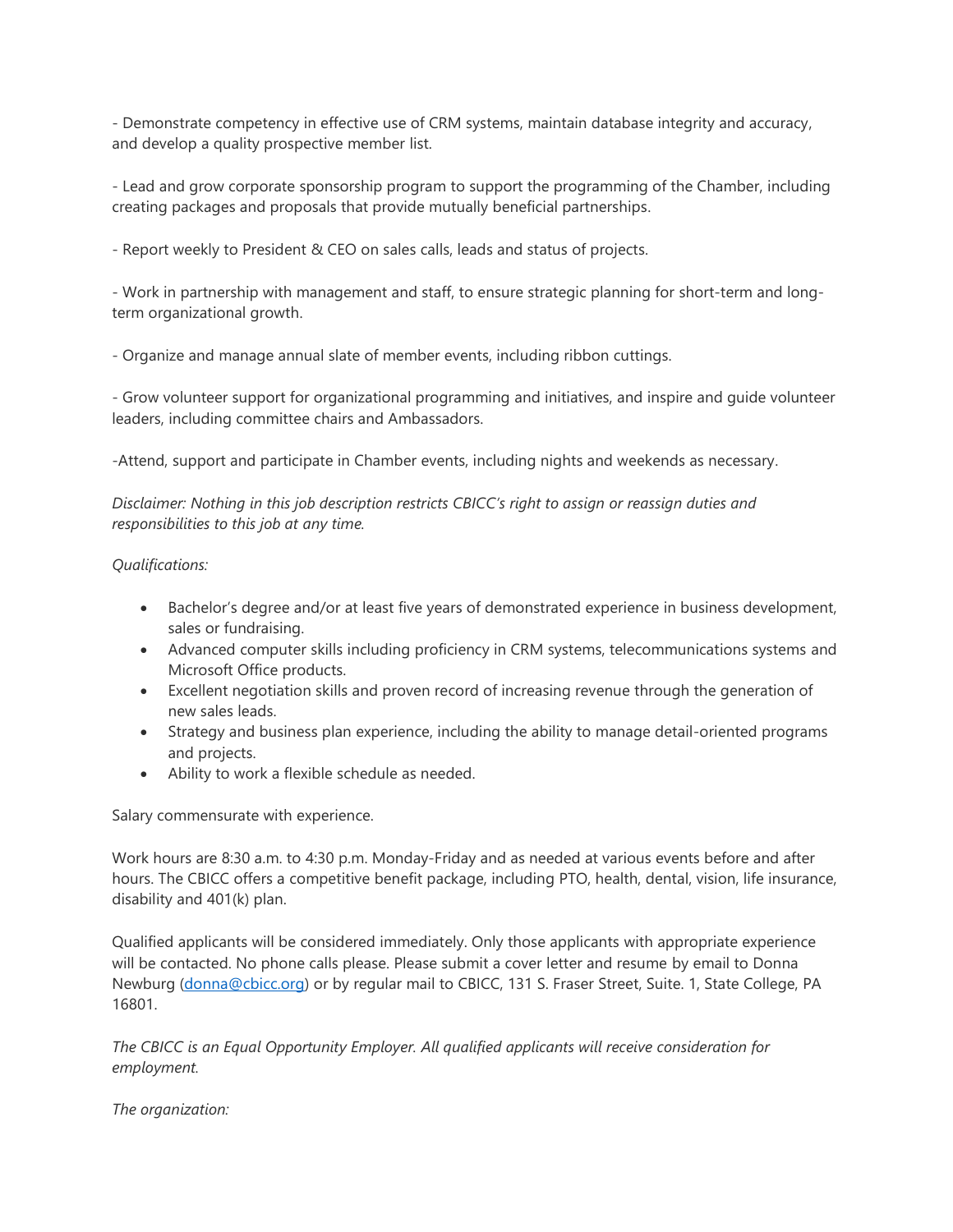- Demonstrate competency in effective use of CRM systems, maintain database integrity and accuracy, and develop a quality prospective member list.

- Lead and grow corporate sponsorship program to support the programming of the Chamber, including creating packages and proposals that provide mutually beneficial partnerships.

- Report weekly to President & CEO on sales calls, leads and status of projects.

- Work in partnership with management and staff, to ensure strategic planning for short-term and longterm organizational growth.

- Organize and manage annual slate of member events, including ribbon cuttings.

- Grow volunteer support for organizational programming and initiatives, and inspire and guide volunteer leaders, including committee chairs and Ambassadors.

-Attend, support and participate in Chamber events, including nights and weekends as necessary.

*Disclaimer: Nothing in this job description restricts CBICC's right to assign or reassign duties and responsibilities to this job at any time.*

## *Qualifications:*

- Bachelor's degree and/or at least five years of demonstrated experience in business development, sales or fundraising.
- Advanced computer skills including proficiency in CRM systems, telecommunications systems and Microsoft Office products.
- Excellent negotiation skills and proven record of increasing revenue through the generation of new sales leads.
- Strategy and business plan experience, including the ability to manage detail-oriented programs and projects.
- Ability to work a flexible schedule as needed.

Salary commensurate with experience.

Work hours are 8:30 a.m. to 4:30 p.m. Monday-Friday and as needed at various events before and after hours. The CBICC offers a competitive benefit package, including PTO, health, dental, vision, life insurance, disability and 401(k) plan.

Qualified applicants will be considered immediately. Only those applicants with appropriate experience will be contacted. No phone calls please. Please submit a cover letter and resume by email to Donna Newburg [\(donna@cbicc.org\)](mailto:donna@cbicc.org) or by regular mail to CBICC, 131 S. Fraser Street, Suite. 1, State College, PA 16801.

*The CBICC is an Equal Opportunity Employer. All qualified applicants will receive consideration for employment.*

*The organization:*